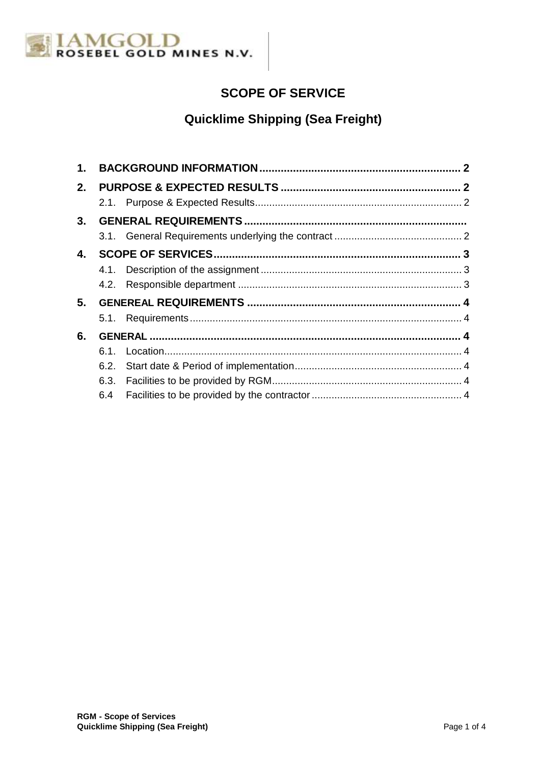

# **SCOPE OF SERVICE**

# **Quicklime Shipping (Sea Freight)**

| 1. |      |  |  |
|----|------|--|--|
| 2. |      |  |  |
|    |      |  |  |
| 3. |      |  |  |
|    |      |  |  |
| 4. |      |  |  |
|    |      |  |  |
|    |      |  |  |
| 5. |      |  |  |
|    |      |  |  |
| 6. |      |  |  |
|    | 6.1. |  |  |
|    |      |  |  |
|    |      |  |  |
|    | 6.4  |  |  |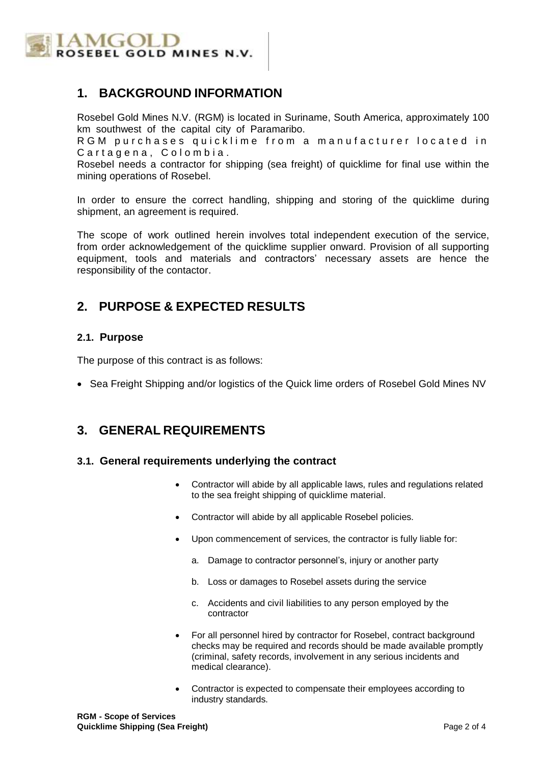

### **1. BACKGROUND INFORMATION**

Rosebel Gold Mines N.V. (RGM) is located in Suriname, South America, approximately 100 km southwest of the capital city of Paramaribo.

R G M purchases quicklime from a manufacturer located in Cartagena, Colombia.

Rosebel needs a contractor for shipping (sea freight) of quicklime for final use within the mining operations of Rosebel.

In order to ensure the correct handling, shipping and storing of the quicklime during shipment, an agreement is required.

The scope of work outlined herein involves total independent execution of the service, from order acknowledgement of the quicklime supplier onward. Provision of all supporting equipment, tools and materials and contractors' necessary assets are hence the responsibility of the contactor.

# **2. PURPOSE & EXPECTED RESULTS**

#### **2.1. Purpose**

The purpose of this contract is as follows:

• Sea Freight Shipping and/or logistics of the Quick lime orders of Rosebel Gold Mines NV

### **3. GENERAL REQUIREMENTS**

#### **3.1. General requirements underlying the contract**

- Contractor will abide by all applicable laws, rules and regulations related to the sea freight shipping of quicklime material.
- Contractor will abide by all applicable Rosebel policies.
- Upon commencement of services, the contractor is fully liable for:
	- a. Damage to contractor personnel's, injury or another party
	- b. Loss or damages to Rosebel assets during the service
	- c. Accidents and civil liabilities to any person employed by the contractor
- For all personnel hired by contractor for Rosebel, contract background checks may be required and records should be made available promptly (criminal, safety records, involvement in any serious incidents and medical clearance).
- Contractor is expected to compensate their employees according to industry standards.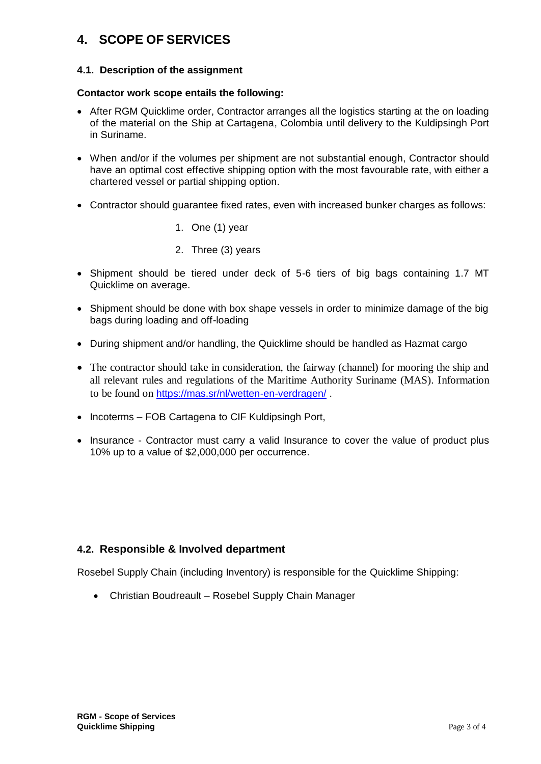# **4. SCOPE OF SERVICES**

#### **4.1. Description of the assignment**

#### **Contactor work scope entails the following:**

- After RGM Quicklime order, Contractor arranges all the logistics starting at the on loading of the material on the Ship at Cartagena, Colombia until delivery to the Kuldipsingh Port in Suriname.
- When and/or if the volumes per shipment are not substantial enough, Contractor should have an optimal cost effective shipping option with the most favourable rate, with either a chartered vessel or partial shipping option.
- Contractor should guarantee fixed rates, even with increased bunker charges as follows:
	- 1. One (1) year
	- 2. Three (3) years
- Shipment should be tiered under deck of 5-6 tiers of big bags containing 1.7 MT Quicklime on average.
- Shipment should be done with box shape vessels in order to minimize damage of the big bags during loading and off-loading
- During shipment and/or handling, the Quicklime should be handled as Hazmat cargo
- The contractor should take in consideration, the fairway (channel) for mooring the ship and all relevant rules and regulations of the Maritime Authority Suriname (MAS). Information to be found on <https://mas.sr/nl/wetten-en-verdragen/> .
- Incoterms FOB Cartagena to CIF Kuldipsingh Port,
- Insurance Contractor must carry a valid Insurance to cover the value of product plus 10% up to a value of \$2,000,000 per occurrence.

#### **4.2. Responsible & Involved department**

Rosebel Supply Chain (including Inventory) is responsible for the Quicklime Shipping:

Christian Boudreault – Rosebel Supply Chain Manager